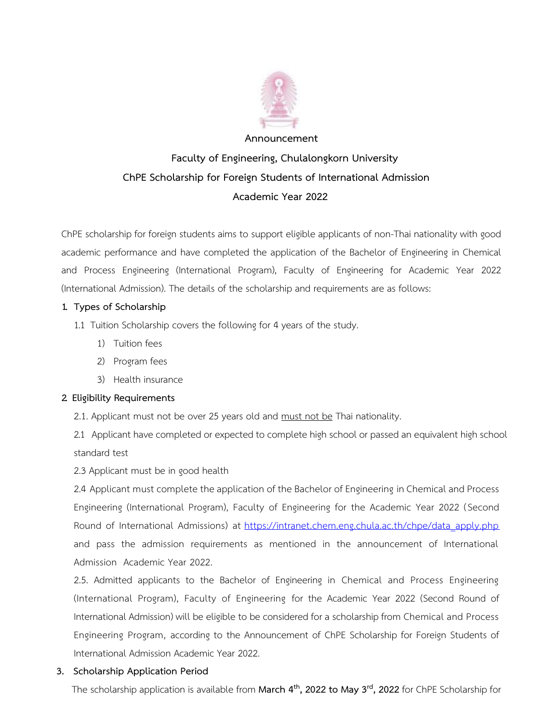

# **Announcement Faculty of Engineering, Chulalongkorn University ChPE Scholarship for Foreign Students of International Admission Academic Year 2022**

ChPE scholarship for foreign students aims to support eligible applicants of non-Thai nationality with good academic performance and have completed the application of the Bachelor of Engineering in Chemical and Process Engineering (International Program), Faculty of Engineering for Academic Year 2022 (International Admission). The details of the scholarship and requirements are as follows:

## **1. Types of Scholarship**

- 1.1 Tuition Scholarship covers the following for 4 years of the study.
	- 1) Tuition fees
	- 2) Program fees
	- 3) Health insurance

## **2. Eligibility Requirements**

2.1. Applicant must not be over 25 years old and must not be Thai nationality.

2.1 Applicant have completed or expected to complete high school or passed an equivalent high school standard test

2.3 Applicant must be in good health

2.4 Applicant must complete the application of the Bachelor of Engineering in Chemical and Process Engineering (International Program), Faculty of Engineering for the Academic Year 2022 (Second Round of International Admissions) at [https://intranet.chem.eng.chula.ac.th/chpe/data\\_apply.php](https://intranet.chem.eng.chula.ac.th/chpe/data_apply.php) and pass the admission requirements as mentioned in the announcement of International Admission Academic Year 2022.

2.5. Admitted applicants to the Bachelor of Engineering in Chemical and Process Engineering (International Program), Faculty of Engineering for the Academic Year 2022 (Second Round of International Admission) will be eligible to be considered for a scholarship from Chemical and Process Engineering Program, according to the Announcement of ChPE Scholarship for Foreign Students of International Admission Academic Year 2022.

## **3. Scholarship Application Period**

The scholarship application is available from **March 4th, 2022 to May 3rd, 2022** for ChPE Scholarship for